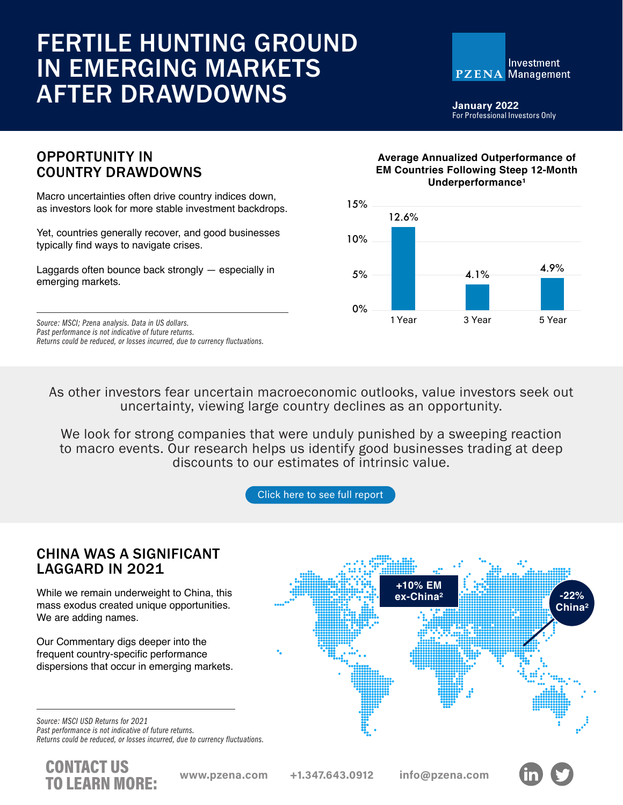# FERTILE HUNTING GROUND IN EMERGING MARKETS AFTER DRAWDOWNS



**January 2022** For Professional Investors Only

## OPPORTUNITY IN COUNTRY DRAWDOWNS

Macro uncertainties often drive country indices down, as investors look for more stable investment backdrops.

Yet, countries generally recover, and good businesses typically find ways to navigate crises.

Laggards often bounce back strongly — especially in emerging markets.

*Past performance is not indicative of future returns. Returns could be reduced, or losses incurred, due to currency fluctuations.*

### **Average Annualized Outperformance of EM Countries Following Steep 12-Month**  Underperformance<sup>1</sup>



As other investors fear uncertain macroeconomic outlooks, value investors seek out uncertainty, viewing large country declines as an opportunity.

We look for strong companies that were unduly punished by a sweeping reaction to macro events. Our research helps us identify good businesses trading at deep discounts to our estimates of intrinsic value.

[Click here to see full report](https://www.pzena.com/wp-content/uploads/2022/01/PzenaNewsletter-Commentary-4Q21.pdf)

## CHINA WAS A SIGNIFICANT LAGGARD IN 2021

While we remain underweight to China, this mass exodus created unique opportunities. We are adding names.

Our Commentary digs deeper into the frequent country-specific performance dispersions that occur in emerging markets.

*Source: MSCI USD Returns for 2021 Past performance is not indicative of future returns. Returns could be reduced, or losses incurred, due to currency fluctuations.*